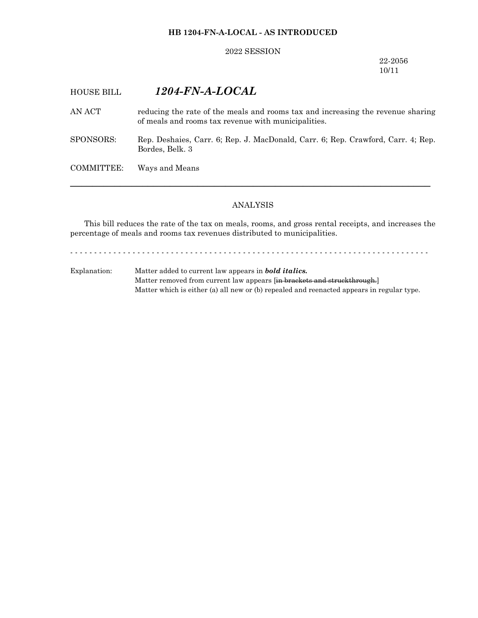### **HB 1204-FN-A-LOCAL - AS INTRODUCED**

#### 2022 SESSION

22-2056 10/11

# HOUSE BILL *1204-FN-A-LOCAL*

AN ACT reducing the rate of the meals and rooms tax and increasing the revenue sharing of meals and rooms tax revenue with municipalities.

SPONSORS: Rep. Deshaies, Carr. 6; Rep. J. MacDonald, Carr. 6; Rep. Crawford, Carr. 4; Rep. Bordes, Belk. 3

COMMITTEE: Ways and Means

#### ANALYSIS

─────────────────────────────────────────────────────────────────

This bill reduces the rate of the tax on meals, rooms, and gross rental receipts, and increases the percentage of meals and rooms tax revenues distributed to municipalities.

- - - - - - - - - - - - - - - - - - - - - - - - - - - - - - - - - - - - - - - - - - - - - - - - - - - - - - - - - - - - - - - - - - - - - - - - - - -

Explanation: Matter added to current law appears in *bold italics.* Matter removed from current law appears [in brackets and struckthrough.] Matter which is either (a) all new or (b) repealed and reenacted appears in regular type.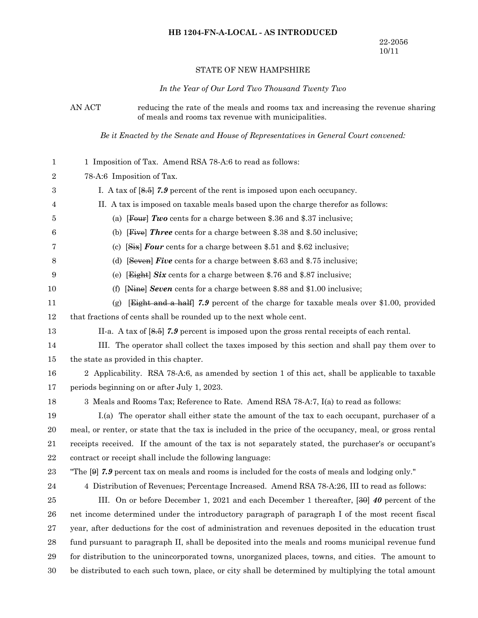## **HB 1204-FN-A-LOCAL - AS INTRODUCED**

### STATE OF NEW HAMPSHIRE

### *In the Year of Our Lord Two Thousand Twenty Two*

AN ACT reducing the rate of the meals and rooms tax and increasing the revenue sharing of meals and rooms tax revenue with municipalities.

*Be it Enacted by the Senate and House of Representatives in General Court convened:*

| 1                | 1 Imposition of Tax. Amend RSA 78-A:6 to read as follows:                                               |
|------------------|---------------------------------------------------------------------------------------------------------|
| $\boldsymbol{2}$ | 78-A:6 Imposition of Tax.                                                                               |
| 3                | I. A tax of $[8.5]$ 7.9 percent of the rent is imposed upon each occupancy.                             |
| 4                | II. A tax is imposed on taxable meals based upon the charge therefor as follows:                        |
| 5                | (a) [Four] Two cents for a charge between \$.36 and \$.37 inclusive;                                    |
| 6                | (b) [Five] <i>Three</i> cents for a charge between \$.38 and \$.50 inclusive;                           |
| 7                | $[Six]$ Four cents for a charge between \$.51 and \$.62 inclusive;<br>(c)                               |
| 8                | [Seven] Five cents for a charge between \$.63 and \$.75 inclusive;<br>(d)                               |
| 9                | [Eight] Six cents for a charge between \$.76 and \$.87 inclusive;<br>(e)                                |
| 10               | [Nine] Seven cents for a charge between \$.88 and \$1.00 inclusive;<br>(f)                              |
| 11               | <b>Eight and a half 7.9</b> percent of the charge for taxable meals over \$1.00, provided<br>(g)        |
| 12               | that fractions of cents shall be rounded up to the next whole cent.                                     |
| 13               | II-a. A tax of $[8.5]$ 7.9 percent is imposed upon the gross rental receipts of each rental.            |
| 14               | III. The operator shall collect the taxes imposed by this section and shall pay them over to            |
| 15               | the state as provided in this chapter.                                                                  |
| 16               | 2 Applicability. RSA 78-A:6, as amended by section 1 of this act, shall be applicable to taxable        |
| 17               | periods beginning on or after July 1, 2023.                                                             |
| 18               | 3 Meals and Rooms Tax; Reference to Rate. Amend RSA 78-A:7, I(a) to read as follows:                    |
| 19               | I.(a) The operator shall either state the amount of the tax to each occupant, purchaser of a            |
| $20\,$           | meal, or renter, or state that the tax is included in the price of the occupancy, meal, or gross rental |
| 21               | receipts received. If the amount of the tax is not separately stated, the purchaser's or occupant's     |
| 22               | contract or receipt shall include the following language:                                               |
| 23               | "The $[9]$ 7.9 percent tax on meals and rooms is included for the costs of meals and lodging only."     |
| 24               | 4 Distribution of Revenues; Percentage Increased. Amend RSA 78-A:26, III to read as follows:            |
| 25               | III. On or before December 1, 2021 and each December 1 thereafter, [30] 40 percent of the               |
| 26               | net income determined under the introductory paragraph of paragraph I of the most recent fiscal         |
| 27               | year, after deductions for the cost of administration and revenues deposited in the education trust     |
| 28               | fund pursuant to paragraph II, shall be deposited into the meals and rooms municipal revenue fund       |
| $\,29$           | for distribution to the unincorporated towns, unorganized places, towns, and cities. The amount to      |
| 30               | be distributed to each such town, place, or city shall be determined by multiplying the total amount    |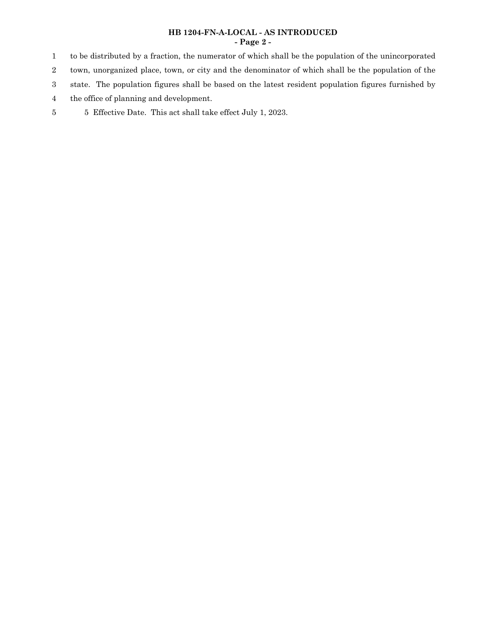### **HB 1204-FN-A-LOCAL - AS INTRODUCED - Page 2 -**

to be distributed by a fraction, the numerator of which shall be the population of the unincorporated town, unorganized place, town, or city and the denominator of which shall be the population of the state. The population figures shall be based on the latest resident population figures furnished by 1 2 3

the office of planning and development. 4

5 Effective Date. This act shall take effect July 1, 2023. 5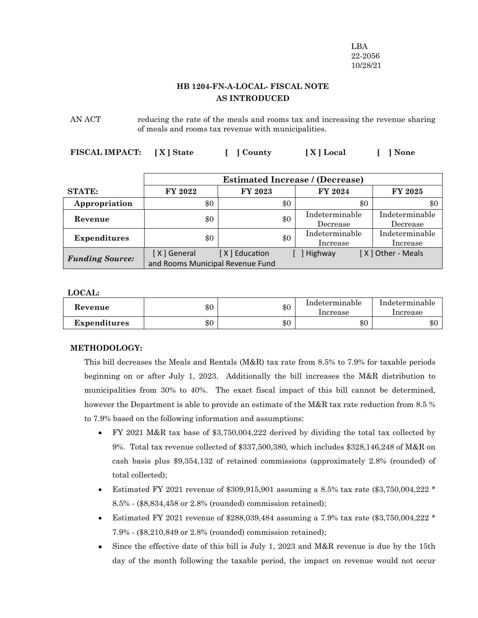LBA 22-2056 10/28/21

# **HB 1204-FN-A-LOCAL- FISCAL NOTE AS INTRODUCED**

AN ACT reducing the rate of the meals and rooms tax and increasing the revenue sharing of meals and rooms tax revenue with municipalities.

**FISCAL IMPACT: [ X ] State [ ] County [ X ] Local [ ] None**

|                        | <b>Estimated Increase / (Decrease)</b> |                |     |                            |                            |
|------------------------|----------------------------------------|----------------|-----|----------------------------|----------------------------|
| <b>STATE:</b>          | FY 2022                                | <b>FY 2023</b> |     | <b>FY 2024</b>             | <b>FY 2025</b>             |
| Appropriation          | \$0<br>\$0                             |                | \$0 | \$0                        |                            |
| Revenue                | \$0                                    |                | \$0 | Indeterminable<br>Decrease | Indeterminable<br>Decrease |
| <b>Expenditures</b>    | \$0                                    |                | \$0 | Indeterminable<br>Increase | Indeterminable<br>Increase |
| <b>Funding Source:</b> | [X] General                            | [X] Education  |     | ] Highway                  | [X] Other - Meals          |
|                        | and Rooms Municipal Revenue Fund       |                |     |                            |                            |

**LOCAL:**

| Revenue      | \$0 | \$0 | Indeterminable<br>Increase | Indeterminable<br>Increase |
|--------------|-----|-----|----------------------------|----------------------------|
| Expenditures | \$0 | \$0 | $\$0$                      | \$0                        |

#### **METHODOLOGY:**

This bill decreases the Meals and Rentals (M&R) tax rate from 8.5% to 7.9% for taxable periods beginning on or after July 1, 2023. Additionally the bill increases the M&R distribution to municipalities from 30% to 40%. The exact fiscal impact of this bill cannot be determined, however the Department is able to provide an estimate of the M&R tax rate reduction from 8.5 % to 7.9% based on the following information and assumptions:

- · FY 2021 M&R tax base of \$3,750,004,222 derived by dividing the total tax collected by 9%. Total tax revenue collected of \$337,500,380, which includes \$328,146,248 of M&R on cash basis plus \$9,354,132 of retained commissions (approximately 2.8% (rounded) of total collected);
- Estimated FY 2021 revenue of \$309,915,901 assuming a 8.5% tax rate (\$3,750,004,222  $*$ 8.5% - (\$8,834,458 or 2.8% (rounded) commission retained);
- Estimated FY 2021 revenue of \$288,039,484 assuming a 7.9% tax rate (\$3,750,004,222  $*$ 7.9% - (\$8,210,849 or 2.8% (rounded) commission retained);
- Since the effective date of this bill is July 1, 2023 and M&R revenue is due by the 15th day of the month following the taxable period, the impact on revenue would not occur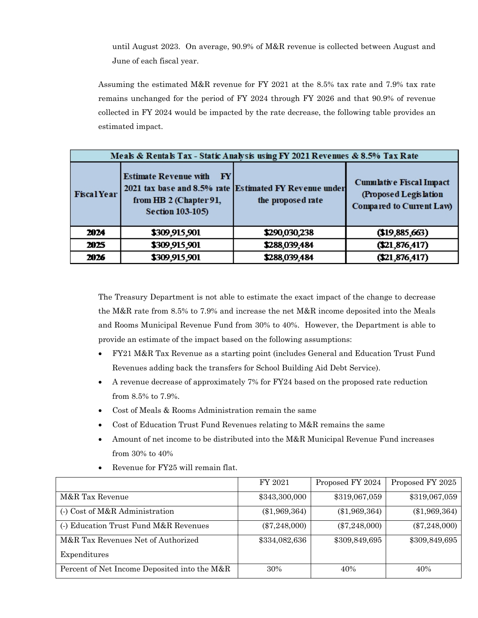until August 2023. On average, 90.9% of M&R revenue is collected between August and June of each fiscal year.

Assuming the estimated M&R revenue for FY 2021 at the 8.5% tax rate and 7.9% tax rate remains unchanged for the period of FY 2024 through FY 2026 and that 90.9% of revenue collected in FY 2024 would be impacted by the rate decrease, the following table provides an estimated impact.

| Meals & Rentals Tax - Static Analysis using FY 2021 Revenues & 8.5% Tax Rate |                                                                                                         |                                                                             |                                                                                      |  |  |
|------------------------------------------------------------------------------|---------------------------------------------------------------------------------------------------------|-----------------------------------------------------------------------------|--------------------------------------------------------------------------------------|--|--|
| <b>Fiscal Year</b>                                                           | <b>Estimate Revenue with</b><br>$ {\bf F}{\bf Y} $<br>from HB 2 (Chapter 91,<br><b>Section 103-105)</b> | 2021 tax base and 8.5% rate Estimated FY Revenue under<br>the proposed rate | <b>Cumulative Fiscal Impact</b><br>(Proposed Legislation<br>Compared to Current Law) |  |  |
| 2024                                                                         | \$309,915,901                                                                                           | \$290,030,238                                                               | (19,885,663)                                                                         |  |  |
| 2025                                                                         | \$309,915,901                                                                                           | \$288,039,484                                                               | (21, 876, 417)                                                                       |  |  |
| 2026                                                                         | \$309,915,901                                                                                           | \$288,039,484                                                               | (21, 876, 417)                                                                       |  |  |

The Treasury Department is not able to estimate the exact impact of the change to decrease the M&R rate from 8.5% to 7.9% and increase the net M&R income deposited into the Meals and Rooms Municipal Revenue Fund from 30% to 40%. However, the Department is able to provide an estimate of the impact based on the following assumptions:

- · FY21 M&R Tax Revenue as a starting point (includes General and Education Trust Fund Revenues adding back the transfers for School Building Aid Debt Service).
- · A revenue decrease of approximately 7% for FY24 based on the proposed rate reduction from 8.5% to 7.9%.
- Cost of Meals & Rooms Administration remain the same
- · Cost of Education Trust Fund Revenues relating to M&R remains the same
- Amount of net income to be distributed into the M&R Municipal Revenue Fund increases from 30% to 40%

|                                              | FY 2021         | Proposed FY 2024 | Proposed FY 2025 |
|----------------------------------------------|-----------------|------------------|------------------|
| M&R Tax Revenue                              | \$343,300,000   | \$319,067,059    | \$319,067,059    |
| (-) Cost of M&R Administration               | $(\$1,969,364)$ | $(\$1,969,364)$  | $(\$1,969,364)$  |
| (-) Education Trust Fund M&R Revenues        | $(\$7,248,000)$ | $(\$7,248,000)$  | $(\$7,248,000)$  |
| M&R Tax Revenues Net of Authorized           | \$334,082,636   | \$309,849,695    | \$309,849,695    |
| Expenditures                                 |                 |                  |                  |
| Percent of Net Income Deposited into the M&R | 30%             | 40%              | 40%              |

Revenue for FY25 will remain flat.